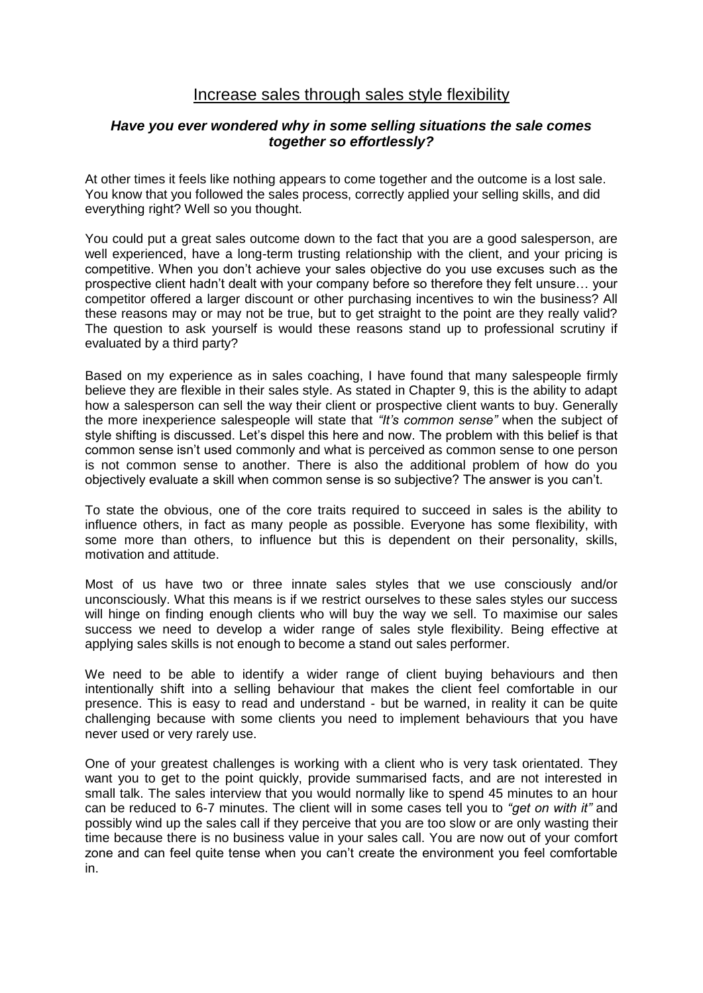# Increase sales through sales style flexibility

#### *Have you ever wondered why in some selling situations the sale comes together so effortlessly?*

At other times it feels like nothing appears to come together and the outcome is a lost sale. You know that you followed the sales process, correctly applied your selling skills, and did everything right? Well so you thought.

You could put a great sales outcome down to the fact that you are a good salesperson, are well experienced, have a long-term trusting relationship with the client, and your pricing is competitive. When you don't achieve your sales objective do you use excuses such as the prospective client hadn't dealt with your company before so therefore they felt unsure… your competitor offered a larger discount or other purchasing incentives to win the business? All these reasons may or may not be true, but to get straight to the point are they really valid? The question to ask yourself is would these reasons stand up to professional scrutiny if evaluated by a third party?

Based on my experience as in sales coaching, I have found that many salespeople firmly believe they are flexible in their sales style. As stated in Chapter 9, this is the ability to adapt how a salesperson can sell the way their client or prospective client wants to buy. Generally the more inexperience salespeople will state that *"It's common sense"* when the subject of style shifting is discussed. Let's dispel this here and now. The problem with this belief is that common sense isn't used commonly and what is perceived as common sense to one person is not common sense to another. There is also the additional problem of how do you objectively evaluate a skill when common sense is so subjective? The answer is you can't.

To state the obvious, one of the core traits required to succeed in sales is the ability to influence others, in fact as many people as possible. Everyone has some flexibility, with some more than others, to influence but this is dependent on their personality, skills, motivation and attitude.

Most of us have two or three innate sales styles that we use consciously and/or unconsciously. What this means is if we restrict ourselves to these sales styles our success will hinge on finding enough clients who will buy the way we sell. To maximise our sales success we need to develop a wider range of sales style flexibility. Being effective at applying sales skills is not enough to become a stand out sales performer.

We need to be able to identify a wider range of client buying behaviours and then intentionally shift into a selling behaviour that makes the client feel comfortable in our presence. This is easy to read and understand - but be warned, in reality it can be quite challenging because with some clients you need to implement behaviours that you have never used or very rarely use.

One of your greatest challenges is working with a client who is very task orientated. They want you to get to the point quickly, provide summarised facts, and are not interested in small talk. The sales interview that you would normally like to spend 45 minutes to an hour can be reduced to 6-7 minutes. The client will in some cases tell you to *"get on with it"* and possibly wind up the sales call if they perceive that you are too slow or are only wasting their time because there is no business value in your sales call. You are now out of your comfort zone and can feel quite tense when you can't create the environment you feel comfortable in.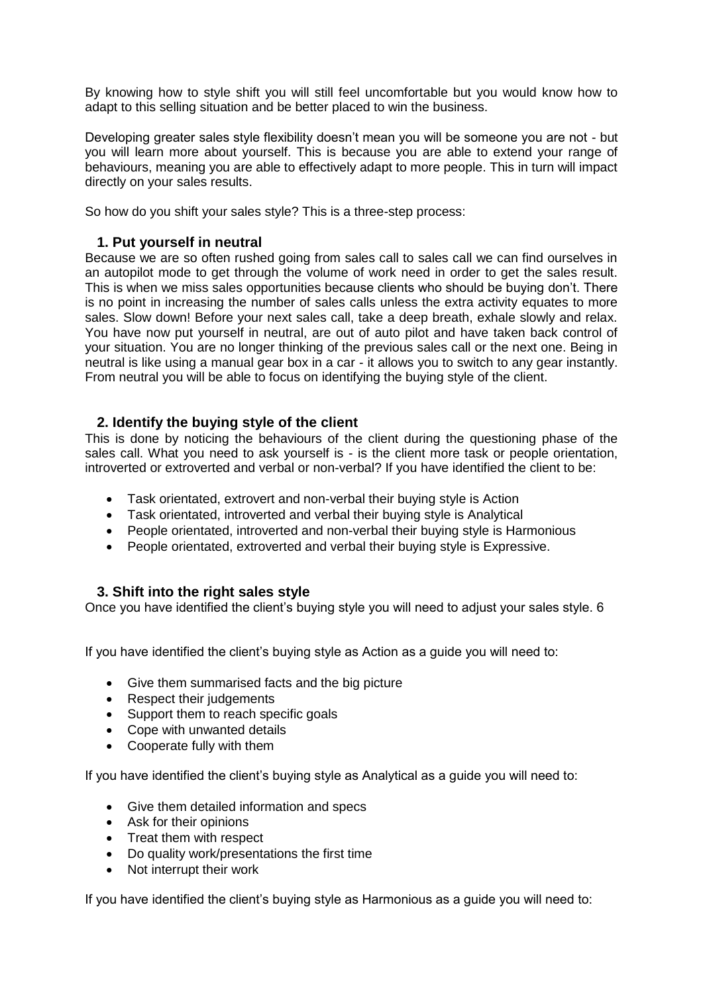By knowing how to style shift you will still feel uncomfortable but you would know how to adapt to this selling situation and be better placed to win the business.

Developing greater sales style flexibility doesn't mean you will be someone you are not - but you will learn more about yourself. This is because you are able to extend your range of behaviours, meaning you are able to effectively adapt to more people. This in turn will impact directly on your sales results.

So how do you shift your sales style? This is a three-step process:

# **1. Put yourself in neutral**

Because we are so often rushed going from sales call to sales call we can find ourselves in an autopilot mode to get through the volume of work need in order to get the sales result. This is when we miss sales opportunities because clients who should be buying don't. There is no point in increasing the number of sales calls unless the extra activity equates to more sales. Slow down! Before your next sales call, take a deep breath, exhale slowly and relax. You have now put yourself in neutral, are out of auto pilot and have taken back control of your situation. You are no longer thinking of the previous sales call or the next one. Being in neutral is like using a manual gear box in a car - it allows you to switch to any gear instantly. From neutral you will be able to focus on identifying the buying style of the client.

# **2. Identify the buying style of the client**

This is done by noticing the behaviours of the client during the questioning phase of the sales call. What you need to ask yourself is - is the client more task or people orientation, introverted or extroverted and verbal or non-verbal? If you have identified the client to be:

- Task orientated, extrovert and non-verbal their buying style is Action
- Task orientated, introverted and verbal their buying style is Analytical
- People orientated, introverted and non-verbal their buying style is Harmonious
- People orientated, extroverted and verbal their buying style is Expressive.

# **3. Shift into the right sales style**

Once you have identified the client's buying style you will need to adjust your sales style. 6

If you have identified the client's buying style as Action as a guide you will need to:

- Give them summarised facts and the big picture
- Respect their judgements
- Support them to reach specific goals
- Cope with unwanted details
- Cooperate fully with them

If you have identified the client's buying style as Analytical as a guide you will need to:

- Give them detailed information and specs
- Ask for their opinions
- Treat them with respect
- Do quality work/presentations the first time
- Not interrupt their work

If you have identified the client's buying style as Harmonious as a guide you will need to: